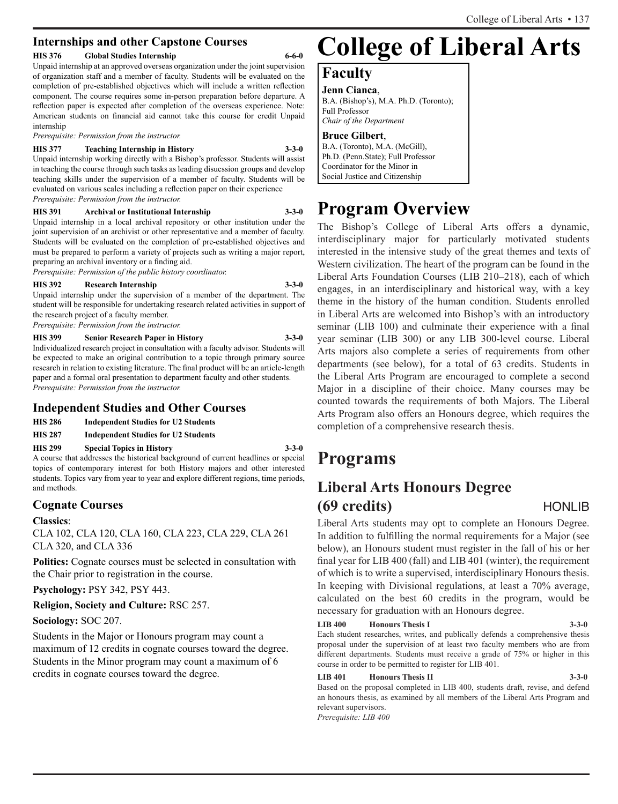## **Internships and other Capstone Courses**

### **HIS 376 Global Studies Internship 6-6-0**

Unpaid internship at an approved overseas organization under the joint supervision of organization staff and a member of faculty. Students will be evaluated on the completion of pre-established objectives which will include a written reflection component. The course requires some in-person preparation before departure. A reflection paper is expected after completion of the overseas experience. Note: American students on financial aid cannot take this course for credit Unpaid internship

*Prerequisite: Permission from the instructor.*

### **HIS 377 Teaching Internship in History 3-3-0**

Unpaid internship working directly with a Bishop's professor. Students will assist in teaching the course through such tasks as leading disucssion groups and develop teaching skills under the supervision of a member of faculty. Students will be evaluated on various scales including a reflection paper on their experience *Prerequisite: Permission from the instructor.*

**HIS 391 Archival or Institutional Internship 3-3-0**

Unpaid internship in a local archival repository or other institution under the joint supervision of an archivist or other representative and a member of faculty. Students will be evaluated on the completion of pre-established objectives and must be prepared to perform a variety of projects such as writing a major report, preparing an archival inventory or a finding aid.

*Prerequisite: Permission of the public history coordinator.*

### **HIS 392 Research Internship 3-3-0**

Unpaid internship under the supervision of a member of the department. The student will be responsible for undertaking research related activities in support of the research project of a faculty member.

*Prerequisite: Permission from the instructor.*

**HIS 399 Senior Research Paper in History 3-3-0**

Individualized research project in consultation with a faculty advisor. Students will be expected to make an original contribution to a topic through primary source research in relation to existing literature. The final product will be an article-length paper and a formal oral presentation to department faculty and other students. *Prerequisite: Permission from the instructor.*

## **Independent Studies and Other Courses**

- **HIS 286 Independent Studies for U2 Students**
- **HIS 287 Independent Studies for U2 Students**

**HIS 299 Special Topics in History 3-3-0**

A course that addresses the historical background of current headlines or special topics of contemporary interest for both History majors and other interested students. Topics vary from year to year and explore different regions, time periods, and methods.

## **Cognate Courses**

## **Classics**:

CLA 102, CLA 120, CLA 160, CLA 223, CLA 229, CLA 261 CLA 320, and CLA 336

**Politics:** Cognate courses must be selected in consultation with the Chair prior to registration in the course.

**Psychology:** PSY 342, PSY 443.

**Religion, Society and Culture:** RSC 257.

**Sociology:** SOC 207.

Students in the Major or Honours program may count a maximum of 12 credits in cognate courses toward the degree. Students in the Minor program may count a maximum of 6 credits in cognate courses toward the degree.

# **College of Liberal Arts**

## **Faculty**

**Jenn Cianca**, B.A. (Bishop's), M.A. Ph.D. (Toronto); Full Professor *Chair of the Department*

## **Bruce Gilbert**,

B.A. (Toronto), M.A. (McGill), Ph.D. (Penn.State); Full Professor Coordinator for the Minor in Social Justice and Citizenship

## **Program Overview**

The Bishop's College of Liberal Arts offers a dynamic, interdisciplinary major for particularly motivated students interested in the intensive study of the great themes and texts of Western civilization. The heart of the program can be found in the Liberal Arts Foundation Courses (LIB 210–218), each of which engages, in an interdisciplinary and historical way, with a key theme in the history of the human condition. Students enrolled in Liberal Arts are welcomed into Bishop's with an introductory seminar (LIB 100) and culminate their experience with a final year seminar (LIB 300) or any LIB 300-level course. Liberal Arts majors also complete a series of requirements from other departments (see below), for a total of 63 credits. Students in the Liberal Arts Program are encouraged to complete a second Major in a discipline of their choice. Many courses may be counted towards the requirements of both Majors. The Liberal Arts Program also offers an Honours degree, which requires the completion of a comprehensive research thesis.

## **Programs**

## **Liberal Arts Honours Degree (69 credits)** HONLIB

Liberal Arts students may opt to complete an Honours Degree. In addition to fulfilling the normal requirements for a Major (see below), an Honours student must register in the fall of his or her final year for LIB 400 (fall) and LIB 401 (winter), the requirement of which is to write a supervised, interdisciplinary Honours thesis. In keeping with Divisional regulations, at least a 70% average, calculated on the best 60 credits in the program, would be necessary for graduation with an Honours degree.

### **LIB 400 Honours Thesis I 3-3-0**

Each student researches, writes, and publically defends a comprehensive thesis proposal under the supervision of at least two faculty members who are from different departments. Students must receive a grade of 75% or higher in this course in order to be permitted to register for LIB 401.

### **LIB 401 Honours Thesis II 3-3-0**

Based on the proposal completed in LIB 400, students draft, revise, and defend an honours thesis, as examined by all members of the Liberal Arts Program and relevant supervisors.

*Prerequisite: LIB 400*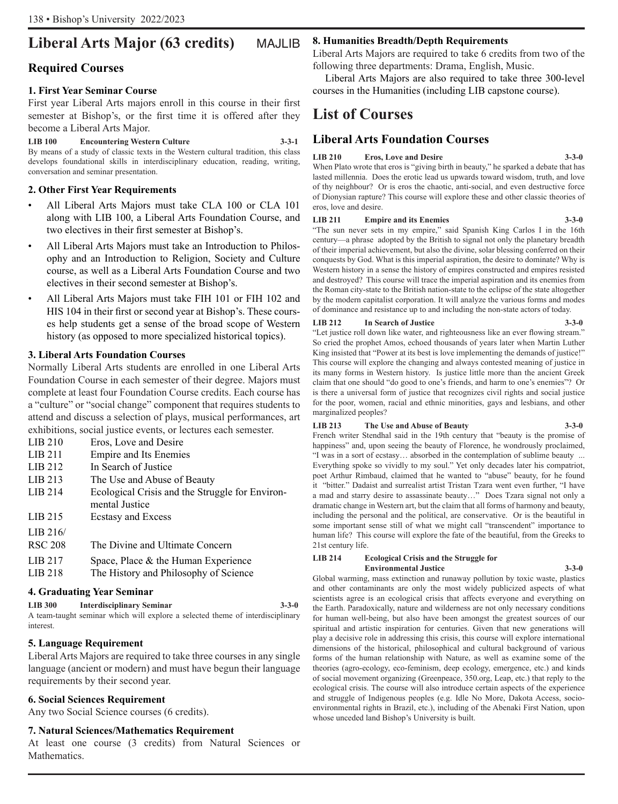## **Liberal Arts Major (63 credits)** MAJLIB

## **Required Courses**

## **1. First Year Seminar Course**

First year Liberal Arts majors enroll in this course in their first semester at Bishop's, or the first time it is offered after they become a Liberal Arts Major.

**LIB 100 Encountering Western Culture 3-3-1** By means of a study of classic texts in the Western cultural tradition, this class develops foundational skills in interdisciplinary education, reading, writing, conversation and seminar presentation.

## **2. Other First Year Requirements**

- All Liberal Arts Majors must take CLA 100 or CLA 101 along with LIB 100, a Liberal Arts Foundation Course, and two electives in their first semester at Bishop's.
- All Liberal Arts Majors must take an Introduction to Philosophy and an Introduction to Religion, Society and Culture course, as well as a Liberal Arts Foundation Course and two electives in their second semester at Bishop's.
- All Liberal Arts Majors must take FIH 101 or FIH 102 and HIS 104 in their first or second year at Bishop's. These courses help students get a sense of the broad scope of Western history (as opposed to more specialized historical topics).

## **3. Liberal Arts Foundation Courses**

Normally Liberal Arts students are enrolled in one Liberal Arts Foundation Course in each semester of their degree. Majors must complete at least four Foundation Course credits. Each course has a "culture" or "social change" component that requires students to attend and discuss a selection of plays, musical performances, art exhibitions, social justice events, or lectures each semester.

- LIB 210 Eros, Love and Desire
- LIB 211 Empire and Its Enemies
- LIB 212 In Search of Justice LIB 213 The Use and Abuse of Beauty
- LIB 214 Ecological Crisis and the Struggle for Environmental Justice LIB 215 Ecstasy and Excess
- LIB 216/
- RSC 208 The Divine and Ultimate Concern
- LIB 217 Space, Place & the Human Experience
- LIB 218 The History and Philosophy of Science

## **4. Graduating Year Seminar**

**LIB 300 Interdisciplinary Seminar 3-3-0** A team-taught seminar which will explore a selected theme of interdisciplinary interest.

## **5. Language Requirement**

Liberal Arts Majors are required to take three courses in any single language (ancient or modern) and must have begun their language requirements by their second year.

## **6. Social Sciences Requirement**

Any two Social Science courses (6 credits).

## **7. Natural Sciences/Mathematics Requirement**

At least one course (3 credits) from Natural Sciences or Mathematics.

## **8. Humanities Breadth/Depth Requirements**

Liberal Arts Majors are required to take 6 credits from two of the following three departments: Drama, English, Music.

Liberal Arts Majors are also required to take three 300-level courses in the Humanities (including LIB capstone course).

## **List of Courses**

## **Liberal Arts Foundation Courses**

## **LIB 210 Eros, Love and Desire 3-3-0**

When Plato wrote that eros is "giving birth in beauty," he sparked a debate that has lasted millennia. Does the erotic lead us upwards toward wisdom, truth, and love of thy neighbour? Or is eros the chaotic, anti-social, and even destructive force of Dionysian rapture? This course will explore these and other classic theories of eros, love and desire.

## **LIB 211 Empire and its Enemies 3-3-0**

"The sun never sets in my empire," said Spanish King Carlos I in the 16th century—a phrase adopted by the British to signal not only the planetary breadth of their imperial achievement, but also the divine, solar blessing conferred on their conquests by God. What is this imperial aspiration, the desire to dominate? Why is Western history in a sense the history of empires constructed and empires resisted and destroyed? This course will trace the imperial aspiration and its enemies from the Roman city-state to the British nation-state to the eclipse of the state altogether by the modern capitalist corporation. It will analyze the various forms and modes of dominance and resistance up to and including the non-state actors of today.

### **LIB 212 In Search of Justice 3-3-0**

"Let justice roll down like water, and righteousness like an ever flowing stream." So cried the prophet Amos, echoed thousands of years later when Martin Luther King insisted that "Power at its best is love implementing the demands of justice!" This course will explore the changing and always contested meaning of justice in its many forms in Western history. Is justice little more than the ancient Greek claim that one should "do good to one's friends, and harm to one's enemies"? Or is there a universal form of justice that recognizes civil rights and social justice for the poor, women, racial and ethnic minorities, gays and lesbians, and other marginalized peoples?

## **LIB 213 The Use and Abuse of Beauty**

French writer Stendhal said in the 19th century that "beauty is the promise of happiness" and, upon seeing the beauty of Florence, he wondrously proclaimed, "I was in a sort of ecstasy… absorbed in the contemplation of sublime beauty ... Everything spoke so vividly to my soul." Yet only decades later his compatriot, poet Arthur Rimbaud, claimed that he wanted to "abuse" beauty, for he found it "bitter." Dadaist and surrealist artist Tristan Tzara went even further, "I have a mad and starry desire to assassinate beauty…" Does Tzara signal not only a dramatic change in Western art, but the claim that all forms of harmony and beauty, including the personal and the political, are conservative. Or is the beautiful in some important sense still of what we might call "transcendent" importance to human life? This course will explore the fate of the beautiful, from the Greeks to 21st century life.

#### **LIB 214 Ecological Crisis and the Struggle for Environmental Justice 3-3-0**

Global warming, mass extinction and runaway pollution by toxic waste, plastics and other contaminants are only the most widely publicized aspects of what scientists agree is an ecological crisis that affects everyone and everything on the Earth. Paradoxically, nature and wilderness are not only necessary conditions for human well-being, but also have been amongst the greatest sources of our spiritual and artistic inspiration for centuries. Given that new generations will play a decisive role in addressing this crisis, this course will explore international dimensions of the historical, philosophical and cultural background of various forms of the human relationship with Nature, as well as examine some of the theories (agro-ecology, eco-feminism, deep ecology, emergence, etc.) and kinds of social movement organizing (Greenpeace, 350.org, Leap, etc.) that reply to the ecological crisis. The course will also introduce certain aspects of the experience and struggle of Indigenous peoples (e.g. Idle No More, Dakota Access, socioenvironmental rights in Brazil, etc.), including of the Abenaki First Nation, upon whose unceded land Bishop's University is built.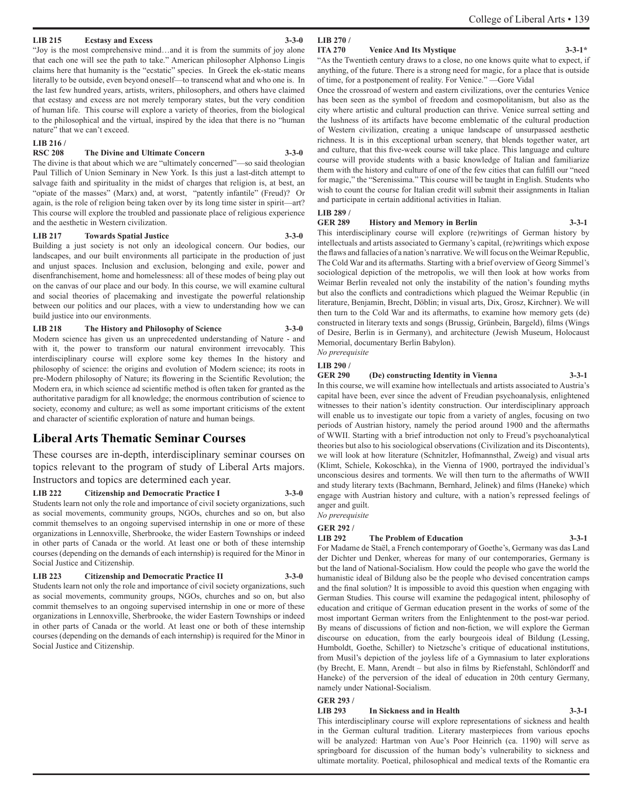"Joy is the most comprehensive mind…and it is from the summits of joy alone that each one will see the path to take." American philosopher Alphonso Lingis claims here that humanity is the "ecstatic" species. In Greek the ek-static means literally to be outside, even beyond oneself—to transcend what and who one is. In the last few hundred years, artists, writers, philosophers, and others have claimed that ecstasy and excess are not merely temporary states, but the very condition of human life. This course will explore a variety of theories, from the biological to the philosophical and the virtual, inspired by the idea that there is no "human nature" that we can't exceed.

**LIB 215 Ecstasy and Excess 3-3-0**

#### **LIB 216 /**

#### **RSC 208 The Divine and Ultimate Concern 3-3-0**

The divine is that about which we are "ultimately concerned"—so said theologian Paul Tillich of Union Seminary in New York. Is this just a last-ditch attempt to salvage faith and spirituality in the midst of charges that religion is, at best, an "opiate of the masses" (Marx) and, at worst, "patently infantile" (Freud)? Or again, is the role of religion being taken over by its long time sister in spirit—art? This course will explore the troubled and passionate place of religious experience and the aesthetic in Western civilization.

#### **LIB 217 Towards Spatial Justice 3-3-0**

Building a just society is not only an ideological concern. Our bodies, our landscapes, and our built environments all participate in the production of just and unjust spaces. Inclusion and exclusion, belonging and exile, power and disenfranchisement, home and homelessness: all of these modes of being play out on the canvas of our place and our body. In this course, we will examine cultural and social theories of placemaking and investigate the powerful relationship between our politics and our places, with a view to understanding how we can build justice into our environments.

#### **LIB 218 The History and Philosophy of Science 3-3-0**

Modern science has given us an unprecedented understanding of Nature - and with it, the power to transform our natural environment irrevocably. This interdisciplinary course will explore some key themes In the history and philosophy of science: the origins and evolution of Modern science; its roots in pre-Modern philosophy of Nature; its flowering in the Scientific Revolution; the Modern era, in which science ad scientific method is often taken for granted as the authoritative paradigm for all knowledge; the enormous contribution of science to society, economy and culture; as well as some important criticisms of the extent and character of scientific exploration of nature and human beings.

## **Liberal Arts Thematic Seminar Courses**

These courses are in-depth, interdisciplinary seminar courses on topics relevant to the program of study of Liberal Arts majors. Instructors and topics are determined each year.

#### **LIB 222 Citizenship and Democratic Practice I 3-3-0**

Students learn not only the role and importance of civil society organizations, such as social movements, community groups, NGOs, churches and so on, but also commit themselves to an ongoing supervised internship in one or more of these organizations in Lennoxville, Sherbrooke, the wider Eastern Townships or indeed in other parts of Canada or the world. At least one or both of these internship courses (depending on the demands of each internship) is required for the Minor in Social Justice and Citizenship.

#### **LIB 223 Citizenship and Democratic Practice II 3-3-0**

Students learn not only the role and importance of civil society organizations, such as social movements, community groups, NGOs, churches and so on, but also commit themselves to an ongoing supervised internship in one or more of these organizations in Lennoxville, Sherbrooke, the wider Eastern Townships or indeed in other parts of Canada or the world. At least one or both of these internship courses (depending on the demands of each internship) is required for the Minor in Social Justice and Citizenship.

### **LIB 270 /**

#### **ITA 270 Venice And Its Mystique 3-3-1\***

#### "As the Twentieth century draws to a close, no one knows quite what to expect, if anything, of the future. There is a strong need for magic, for a place that is outside of time, for a postponement of reality. For Venice." —Gore Vidal

Once the crossroad of western and eastern civilizations, over the centuries Venice has been seen as the symbol of freedom and cosmopolitanism, but also as the city where artistic and cultural production can thrive. Venice surreal setting and the lushness of its artifacts have become emblematic of the cultural production of Western civilization, creating a unique landscape of unsurpassed aesthetic richness. It is in this exceptional urban scenery, that blends together water, art and culture, that this five-week course will take place. This language and culture course will provide students with a basic knowledge of Italian and familiarize them with the history and culture of one of the few cities that can fulfill our "need for magic," the "Serenissima." This course will be taught in English. Students who wish to count the course for Italian credit will submit their assignments in Italian and participate in certain additional activities in Italian.

#### **LIB 289 /**

#### **GER 289 History and Memory in Berlin 3-3-1**

This interdisciplinary course will explore (re)writings of German history by intellectuals and artists associated to Germany's capital, (re)writings which expose the flaws and fallacies of a nation's narrative. We will focus on the Weimar Republic, The Cold War and its aftermaths. Starting with a brief overview of Georg Simmel's sociological depiction of the metropolis, we will then look at how works from Weimar Berlin revealed not only the instability of the nation's founding myths but also the conflicts and contradictions which plagued the Weimar Republic (in literature, Benjamin, Brecht, Döblin; in visual arts, Dix, Grosz, Kirchner). We will then turn to the Cold War and its aftermaths, to examine how memory gets (de) constructed in literary texts and songs (Brussig, Grünbein, Bargeld), films (Wings of Desire, Berlin is in Germany), and architecture (Jewish Museum, Holocaust Memorial, documentary Berlin Babylon). *No prerequisite*

#### **LIB 290 /**

## **GER 290 (De) constructing Identity in Vienna 3-3-1**

In this course, we will examine how intellectuals and artists associated to Austria's capital have been, ever since the advent of Freudian psychoanalysis, enlightened witnesses to their nation's identity construction. Our interdisciplinary approach will enable us to investigate our topic from a variety of angles, focusing on two periods of Austrian history, namely the period around 1900 and the aftermaths of WWII. Starting with a brief introduction not only to Freud's psychoanalytical theories but also to his sociological observations (Civilization and its Discontents), we will look at how literature (Schnitzler, Hofmannsthal, Zweig) and visual arts (Klimt, Schiele, Kokoschka), in the Vienna of 1900, portrayed the individual's unconscious desires and torments. We will then turn to the aftermaths of WWII and study literary texts (Bachmann, Bernhard, Jelinek) and films (Haneke) which engage with Austrian history and culture, with a nation's repressed feelings of anger and guilt.

*No prerequisite* **GER 292 /**

#### **LIB 292 The Problem of Education 3-3-1**

For Madame de Staël, a French contemporary of Goethe's, Germany was das Land der Dichter und Denker, whereas for many of our contemporaries, Germany is but the land of National-Socialism. How could the people who gave the world the humanistic ideal of Bildung also be the people who devised concentration camps and the final solution? It is impossible to avoid this question when engaging with German Studies. This course will examine the pedagogical intent, philosophy of education and critique of German education present in the works of some of the most important German writers from the Enlightenment to the post-war period. By means of discussions of fiction and non-fiction, we will explore the German discourse on education, from the early bourgeois ideal of Bildung (Lessing, Humboldt, Goethe, Schiller) to Nietzsche's critique of educational institutions, from Musil's depiction of the joyless life of a Gymnasium to later explorations (by Brecht, E. Mann, Arendt – but also in films by Riefenstahl, Schlöndorff and Haneke) of the perversion of the ideal of education in 20th century Germany, namely under National-Socialism.

#### **GER 293 /**

#### **LIB 293 In Sickness and in Health 3-3-1**

This interdisciplinary course will explore representations of sickness and health in the German cultural tradition. Literary masterpieces from various epochs will be analyzed: Hartman von Aue's Poor Heinrich (ca. 1190) will serve as springboard for discussion of the human body's vulnerability to sickness and ultimate mortality. Poetical, philosophical and medical texts of the Romantic era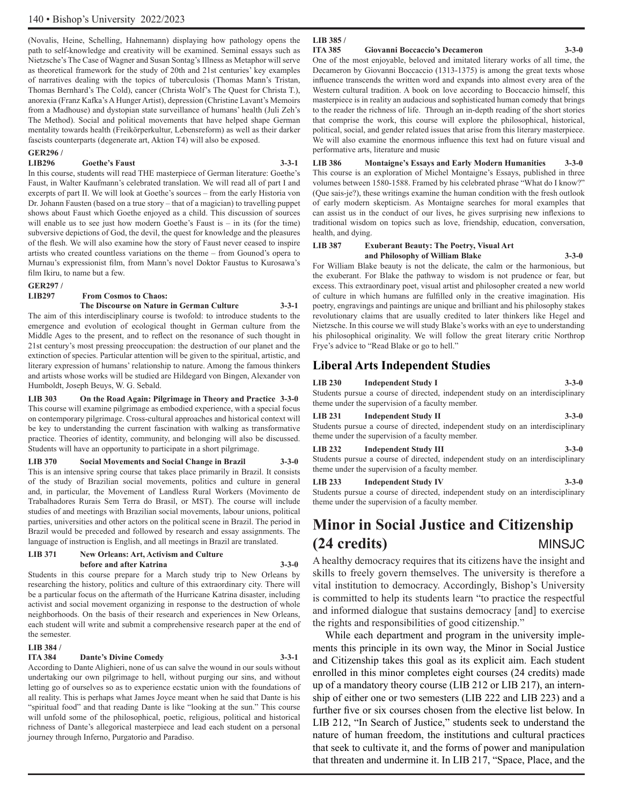(Novalis, Heine, Schelling, Hahnemann) displaying how pathology opens the path to self-knowledge and creativity will be examined. Seminal essays such as Nietzsche's The Case of Wagner and Susan Sontag's Illness as Metaphor will serve as theoretical framework for the study of 20th and 21st centuries' key examples of narratives dealing with the topics of tuberculosis (Thomas Mann's Tristan, Thomas Bernhard's The Cold), cancer (Christa Wolf's The Quest for Christa T.), anorexia (Franz Kafka's A Hunger Artist), depression (Christine Lavant's Memoirs from a Madhouse) and dystopian state surveillance of humans' health (Juli Zeh's The Method). Social and political movements that have helped shape German mentality towards health (Freikörperkultur, Lebensreform) as well as their darker fascists counterparts (degenerate art, Aktion T4) will also be exposed.

### **GER296 /**

#### **LIB296 Goethe's Faust 3-3-1**

In this course, students will read THE masterpiece of German literature: Goethe's Faust, in Walter Kaufmann's celebrated translation. We will read all of part I and excerpts of part II. We will look at Goethe's sources – from the early Historia von Dr. Johann Fausten (based on a true story – that of a magician) to travelling puppet shows about Faust which Goethe enjoyed as a child. This discussion of sources will enable us to see just how modern Goethe's Faust is – in its (for the time) subversive depictions of God, the devil, the quest for knowledge and the pleasures of the flesh. We will also examine how the story of Faust never ceased to inspire artists who created countless variations on the theme – from Gounod's opera to Murnau's expressionist film, from Mann's novel Doktor Faustus to Kurosawa's film Ikiru, to name but a few.

## **GER297 /**

### **Erom Cosmos to Chaos:**

#### **The Discourse on Nature in German Culture 3-3-1**

The aim of this interdisciplinary course is twofold: to introduce students to the emergence and evolution of ecological thought in German culture from the Middle Ages to the present, and to reflect on the resonance of such thought in 21st century's most pressing preoccupation: the destruction of our planet and the extinction of species. Particular attention will be given to the spiritual, artistic, and literary expression of humans' relationship to nature. Among the famous thinkers and artists whose works will be studied are Hildegard von Bingen, Alexander von Humboldt, Joseph Beuys, W. G. Sebald.

**LIB 303 On the Road Again: Pilgrimage in Theory and Practice 3-3-0** This course will examine pilgrimage as embodied experience, with a special focus on contemporary pilgrimage. Cross-cultural approaches and historical context will be key to understanding the current fascination with walking as transformative practice. Theories of identity, community, and belonging will also be discussed. Students will have an opportunity to participate in a short pilgrimage.

### **LIB 370 Social Movements and Social Change in Brazil 3-3-0**

This is an intensive spring course that takes place primarily in Brazil. It consists of the study of Brazilian social movements, politics and culture in general and, in particular, the Movement of Landless Rural Workers (Movimento de Trabalhadores Rurais Sem Terra do Brasil, or MST). The course will include studies of and meetings with Brazilian social movements, labour unions, political parties, universities and other actors on the political scene in Brazil. The period in Brazil would be preceded and followed by research and essay assignments. The language of instruction is English, and all meetings in Brazil are translated.

### LIB 371 New Orleans: Art, Activism and Culture **before and after Katrina 3-3-0**

Students in this course prepare for a March study trip to New Orleans by researching the history, politics and culture of this extraordinary city. There will be a particular focus on the aftermath of the Hurricane Katrina disaster, including activist and social movement organizing in response to the destruction of whole neighborhoods. On the basis of their research and experiences in New Orleans, each student will write and submit a comprehensive research paper at the end of the semester.

## **LIB 384 /**

#### **Dante's Divine Comedy 3-3-1**

According to Dante Alighieri, none of us can salve the wound in our souls without undertaking our own pilgrimage to hell, without purging our sins, and without letting go of ourselves so as to experience ecstatic union with the foundations of all reality. This is perhaps what James Joyce meant when he said that Dante is his "spiritual food" and that reading Dante is like "looking at the sun." This course will unfold some of the philosophical, poetic, religious, political and historical richness of Dante's allegorical masterpiece and lead each student on a personal journey through Inferno, Purgatorio and Paradiso.

#### **LIB 385 /**

#### **ITA 385 Giovanni Boccaccio's Decameron 3-3-0**

One of the most enjoyable, beloved and imitated literary works of all time, the Decameron by Giovanni Boccaccio (1313-1375) is among the great texts whose influence transcends the written word and expands into almost every area of the Western cultural tradition. A book on love according to Boccaccio himself, this masterpiece is in reality an audacious and sophisticated human comedy that brings to the reader the richness of life. Through an in-depth reading of the short stories that comprise the work, this course will explore the philosophical, historical, political, social, and gender related issues that arise from this literary masterpiece. We will also examine the enormous influence this text had on future visual and performative arts, literature and music

**LIB 386 Montaigne's Essays and Early Modern Humanities 3-3-0** This course is an exploration of Michel Montaigne's Essays, published in three volumes between 1580-1588. Framed by his celebrated phrase "What do I know?" (Que sais-je?), these writings examine the human condition with the fresh outlook of early modern skepticism. As Montaigne searches for moral examples that can assist us in the conduct of our lives, he gives surprising new inflexions to traditional wisdom on topics such as love, friendship, education, conversation, health, and dying.

#### **LIB 387 Exuberant Beauty: The Poetry, Visual Art and Philosophy of William Blake 3-3-0**

For William Blake beauty is not the delicate, the calm or the harmonious, but the exuberant. For Blake the pathway to wisdom is not prudence or fear, but excess. This extraordinary poet, visual artist and philosopher created a new world of culture in which humans are fulfilled only in the creative imagination. His poetry, engravings and paintings are unique and brilliant and his philosophy stakes revolutionary claims that are usually credited to later thinkers like Hegel and Nietzsche. In this course we will study Blake's works with an eye to understanding his philosophical originality. We will follow the great literary critic Northrop Frye's advice to "Read Blake or go to hell."

### **Liberal Arts Independent Studies**

#### **LIB 230 Independent Study I 3-3-0**

Students pursue a course of directed, independent study on an interdisciplinary theme under the supervision of a faculty member.

#### **LIB 231 Independent Study II 3-3-0**

Students pursue a course of directed, independent study on an interdisciplinary theme under the supervision of a faculty member.

#### **LIB 232 Independent Study III 3-3-0**

Students pursue a course of directed, independent study on an interdisciplinary theme under the supervision of a faculty member.

#### **LIB 233 Independent Study IV 3-3-0**

Students pursue a course of directed, independent study on an interdisciplinary theme under the supervision of a faculty member.

## **Minor in Social Justice and Citizenship (24 credits)** MINSJC

A healthy democracy requires that its citizens have the insight and skills to freely govern themselves. The university is therefore a vital institution to democracy. Accordingly, Bishop's University is committed to help its students learn "to practice the respectful and informed dialogue that sustains democracy [and] to exercise the rights and responsibilities of good citizenship."

While each department and program in the university implements this principle in its own way, the Minor in Social Justice and Citizenship takes this goal as its explicit aim. Each student enrolled in this minor completes eight courses (24 credits) made up of a mandatory theory course (LIB 212 or LIB 217), an internship of either one or two semesters (LIB 222 and LIB 223) and a further five or six courses chosen from the elective list below. In LIB 212, "In Search of Justice," students seek to understand the nature of human freedom, the institutions and cultural practices that seek to cultivate it, and the forms of power and manipulation that threaten and undermine it. In LIB 217, "Space, Place, and the